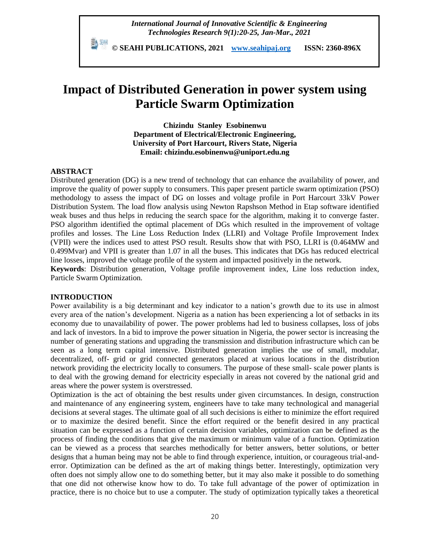*International Journal of Innovative Scientific & Engineering Technologies Research 9(1):20-25, Jan-Mar., 2021*

 **© SEAHI PUBLICATIONS, 2021 [www.seahipaj.org](http://www.seahipaj.org/) ISSN: 2360-896X**

# **Impact of Distributed Generation in power system using Particle Swarm Optimization**

**Chizindu Stanley Esobinenwu Department of Electrical/Electronic Engineering, University of Port Harcourt, Rivers State, Nigeria Email: chizindu.esobinenwu@uniport.edu.ng**

# **ABSTRACT**

Distributed generation (DG) is a new trend of technology that can enhance the availability of power, and improve the quality of power supply to consumers. This paper present particle swarm optimization (PSO) methodology to assess the impact of DG on losses and voltage profile in Port Harcourt 33kV Power Distribution System. The load flow analysis using Newton Rapshson Method in Etap software identified weak buses and thus helps in reducing the search space for the algorithm, making it to converge faster. PSO algorithm identified the optimal placement of DGs which resulted in the improvement of voltage profiles and losses. The Line Loss Reduction Index (LLRI) and Voltage Profile Improvement Index (VPII) were the indices used to attest PSO result. Results show that with PSO, LLRI is (0.464MW and 0.499Mvar) and VPII is greater than 1.07 in all the buses. This indicates that DGs has reduced electrical line losses, improved the voltage profile of the system and impacted positively in the network.

**Keywords**: Distribution generation, Voltage profile improvement index, Line loss reduction index, Particle Swarm Optimization.

#### **INTRODUCTION**

Power availability is a big determinant and key indicator to a nation's growth due to its use in almost every area of the nation's development. Nigeria as a nation has been experiencing a lot of setbacks in its economy due to unavailability of power. The power problems had led to business collapses, loss of jobs and lack of investors. In a bid to improve the power situation in Nigeria, the power sector is increasing the number of generating stations and upgrading the transmission and distribution infrastructure which can be seen as a long term capital intensive. Distributed generation implies the use of small, modular, decentralized, off- grid or grid connected generators placed at various locations in the distribution network providing the electricity locally to consumers. The purpose of these small- scale power plants is to deal with the growing demand for electricity especially in areas not covered by the national grid and areas where the power system is overstressed.

Optimization is the act of obtaining the best results under given circumstances. In design, construction and maintenance of any engineering system, engineers have to take many technological and managerial decisions at several stages. The ultimate goal of all such decisions is either to minimize the effort required or to maximize the desired benefit. Since the effort required or the benefit desired in any practical situation can be expressed as a function of certain decision variables, optimization can be defined as the process of finding the conditions that give the maximum or minimum value of a function. Optimization can be viewed as a process that searches methodically for better answers, better solutions, or better designs that a human being may not be able to find through experience, intuition, or courageous trial-anderror. Optimization can be defined as the art of making things better. Interestingly, optimization very often does not simply allow one to do something better, but it may also make it possible to do something that one did not otherwise know how to do. To take full advantage of the power of optimization in practice, there is no choice but to use a computer. The study of optimization typically takes a theoretical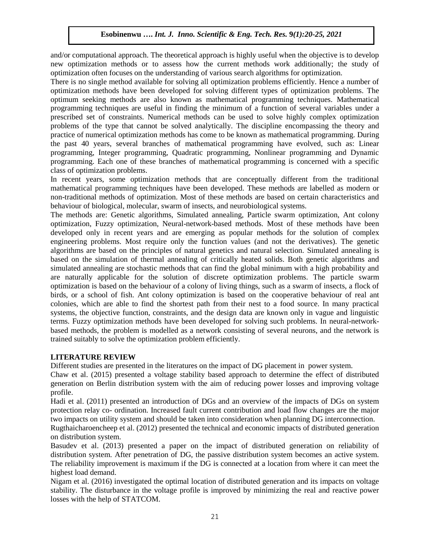and/or computational approach. The theoretical approach is highly useful when the objective is to develop new optimization methods or to assess how the current methods work additionally; the study of optimization often focuses on the understanding of various search algorithms for optimization.

There is no single method available for solving all optimization problems efficiently. Hence a number of optimization methods have been developed for solving different types of optimization problems. The optimum seeking methods are also known as mathematical programming techniques. Mathematical programming techniques are useful in finding the minimum of a function of several variables under a prescribed set of constraints. Numerical methods can be used to solve highly complex optimization problems of the type that cannot be solved analytically. The discipline encompassing the theory and practice of numerical optimization methods has come to be known as mathematical programming. During the past 40 years, several branches of mathematical programming have evolved, such as: Linear programming, Integer programming, Quadratic programming, Nonlinear programming and Dynamic programming. Each one of these branches of mathematical programming is concerned with a specific class of optimization problems.

In recent years, some optimization methods that are conceptually different from the traditional mathematical programming techniques have been developed. These methods are labelled as modern or non-traditional methods of optimization. Most of these methods are based on certain characteristics and behaviour of biological, molecular, swarm of insects, and neurobiological systems.

The methods are: Genetic algorithms, Simulated annealing, Particle swarm optimization, Ant colony optimization, Fuzzy optimization, Neural-network-based methods. Most of these methods have been developed only in recent years and are emerging as popular methods for the solution of complex engineering problems. Most require only the function values (and not the derivatives). The genetic algorithms are based on the principles of natural genetics and natural selection. Simulated annealing is based on the simulation of thermal annealing of critically heated solids. Both genetic algorithms and simulated annealing are stochastic methods that can find the global minimum with a high probability and are naturally applicable for the solution of discrete optimization problems. The particle swarm optimization is based on the behaviour of a colony of living things, such as a swarm of insects, a flock of birds, or a school of fish. Ant colony optimization is based on the cooperative behaviour of real ant colonies, which are able to find the shortest path from their nest to a food source. In many practical systems, the objective function, constraints, and the design data are known only in vague and linguistic terms. Fuzzy optimization methods have been developed for solving such problems. In neural-networkbased methods, the problem is modelled as a network consisting of several neurons, and the network is trained suitably to solve the optimization problem efficiently.

# **LITERATURE REVIEW**

Different studies are presented in the literatures on the impact of DG placement in power system.

Chaw et al. (2015) presented a voltage stability based approach to determine the effect of distributed generation on Berlin distribution system with the aim of reducing power losses and improving voltage profile.

Hadi et al. (2011) presented an introduction of DGs and an overview of the impacts of DGs on system protection relay co- ordination. Increased fault current contribution and load flow changes are the major two impacts on utility system and should be taken into consideration when planning DG interconnection.

Rugthaicharoencheep et al. (2012) presented the technical and economic impacts of distributed generation on distribution system.

Basudev et al. (2013) presented a paper on the impact of distributed generation on reliability of distribution system. After penetration of DG, the passive distribution system becomes an active system. The reliability improvement is maximum if the DG is connected at a location from where it can meet the highest load demand.

Nigam et al. (2016) investigated the optimal location of distributed generation and its impacts on voltage stability. The disturbance in the voltage profile is improved by minimizing the real and reactive power losses with the help of STATCOM.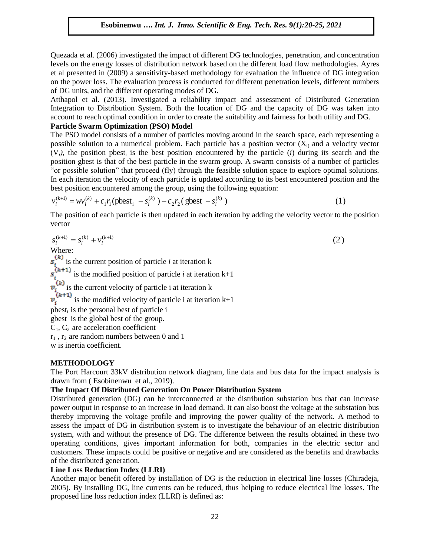Quezada et al. (2006) investigated the impact of different DG technologies, penetration, and concentration levels on the energy losses of distribution network based on the different load flow methodologies. Ayres et al presented in (2009) a sensitivity-based methodology for evaluation the influence of DG integration on the power loss. The evaluation process is conducted for different penetration levels, different numbers of DG units, and the different operating modes of DG.

Atthapol et al. (2013). Investigated a reliability impact and assessment of Distributed Generation Integration to Distribution System. Both the location of DG and the capacity of DG was taken into account to reach optimal condition in order to create the suitability and fairness for both utility and DG.

# **Particle Swarm Optimization (PSO) Model**

The PSO model consists of a number of particles moving around in the search space, each representing a possible solution to a numerical problem. Each particle has a position vector  $(X_i)$  and a velocity vector  $(V_i)$ , the position pbest<sub>i</sub> is the best position encountered by the particle (*i*) during its search and the position gbest is that of the best particle in the swarm group. A swarm consists of a number of particles "or possible solution" that proceed (fly) through the feasible solution space to explore optimal solutions. In each iteration the velocity of each particle is updated according to its best encountered position and the best position encountered among the group, using the following equation:

$$
v_i^{(k+1)} = w v_i^{(k)} + c_1 r_1 (\text{pbest}_i - s_i^{(k)}) + c_2 r_2 (\text{gbest} - s_i^{(k)})
$$
\n(1)

The position of each particle is then updated in each iteration by adding the velocity vector to the position vector

$$
s_i^{(k+1)} = s_i^{(k)} + v_i^{(k+1)}
$$
\nWhere:  
\nWhere:  
\n
$$
s_i^{(k)}
$$
 is the current position of particle *i* at iteration k  
\n
$$
s_i^{(k+1)}
$$
 is the modified position of particle *i* at iteration k+1  
\n
$$
v_i^{(k)}
$$
 is the current velocity of particle *i* at iteration k  
\n
$$
v_i^{(k+1)}
$$
 is the modified velocity of particle *i* at iteration k+1  
\n
$$
v_i^{(k+1)}
$$
 is the personal best of particle *i*  
\ngbest *i* is the personal best of the group.  
\n
$$
C_1, C_2
$$
 are acceleration coefficient  
\n $r_1, r_2$  are random numbers between 0 and 1

w is inertia coefficient.

# **METHODOLOGY**

The Port Harcourt 33kV distribution network diagram, line data and bus data for the impact analysis is drawn from ( Esobinenwu et al., 2019).

# **The Impact Of Distributed Generation On Power Distribution System**

Distributed generation (DG) can be interconnected at the distribution substation bus that can increase power output in response to an increase in load demand. It can also boost the voltage at the substation bus thereby improving the voltage profile and improving the power quality of the network. A method to assess the impact of DG in distribution system is to investigate the behaviour of an electric distribution system, with and without the presence of DG. The difference between the results obtained in these two operating conditions, gives important information for both, companies in the electric sector and customers. These impacts could be positive or negative and are considered as the benefits and drawbacks of the distributed generation.

# **Line Loss Reduction Index (LLRI)**

Another major benefit offered by installation of DG is the reduction in electrical line losses (Chiradeja, 2005). By installing DG, line currents can be reduced, thus helping to reduce electrical line losses. The proposed line loss reduction index (LLRI) is defined as: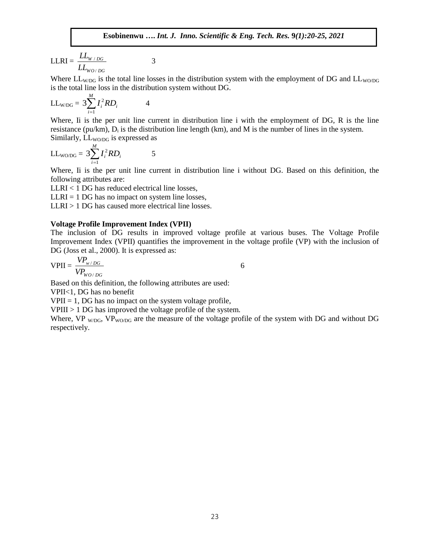$$
\text{LLRI} = \frac{LL_{W/DG}}{LL_{WO/DG}}
$$

Where  $LL_{W/DG}$  is the total line losses in the distribution system with the employment of DG and  $LL_{W/DG}$ is the total line loss in the distribution system without DG.

$$
LL_{W/DG} = 3\sum_{i=1}^{M} I_i^2 RD_i
$$
 4

Where, Ii is the per unit line current in distribution line i with the employment of DG, R is the line resistance (pu/km),  $D_i$  is the distribution line length (km), and M is the number of lines in the system. Similarly,  $LL_{WO/DG}$  is expressed as

$$
LL_{\text{WO/DG}} = 3 \sum_{i=1}^{M} I_i^2 R D_i
$$
 5

Where, Ii is the per unit line current in distribution line i without DG. Based on this definition, the following attributes are:

LLRI < 1 DG has reduced electrical line losses,

 $LLRI = 1 DG$  has no impact on system line losses,

LLRI > 1 DG has caused more electrical line losses.

3

#### **Voltage Profile Improvement Index (VPII)**

The inclusion of DG results in improved voltage profile at various buses. The Voltage Profile Improvement Index (VPII) quantifies the improvement in the voltage profile (VP) with the inclusion of DG (Joss et al., 2000). It is expressed as:

$$
VPII = \frac{VP_{w/DG}}{VP_{WO/DG}}
$$

Based on this definition, the following attributes are used:

VPII<1, DG has no benefit

 $VPII = 1$ , DG has no impact on the system voltage profile,

VPIII > 1 DG has improved the voltage profile of the system.

Where, VP  $_{W/DG}$ , VP<sub>WO/DG</sub> are the measure of the voltage profile of the system with DG and without DG respectively.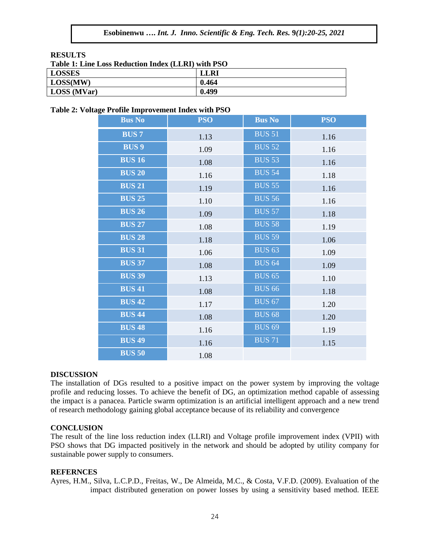#### **RESULTS**

| THURS THREE DUDD TWO DURING THE THREE HAD THE TU O |             |  |  |  |
|----------------------------------------------------|-------------|--|--|--|
| LOSSES                                             | <b>LLRI</b> |  |  |  |
| LOSS(MW)                                           | 0.464       |  |  |  |
| LOSS (MVar)                                        | 0.499       |  |  |  |

#### **Table 2: Voltage Profile Improvement Index with PSO**

| <b>Bus No</b> | <b>PSO</b> | <b>Bus No</b> | <b>PSO</b> |
|---------------|------------|---------------|------------|
| <b>BUS7</b>   | 1.13       | <b>BUS 51</b> | 1.16       |
| <b>BUS 9</b>  | 1.09       | <b>BUS 52</b> | 1.16       |
| <b>BUS 16</b> | 1.08       | <b>BUS 53</b> | 1.16       |
| <b>BUS 20</b> | 1.16       | <b>BUS 54</b> | 1.18       |
| <b>BUS 21</b> | 1.19       | <b>BUS 55</b> | 1.16       |
| <b>BUS 25</b> | 1.10       | <b>BUS 56</b> | 1.16       |
| <b>BUS 26</b> | 1.09       | <b>BUS 57</b> | 1.18       |
| <b>BUS 27</b> | 1.08       | <b>BUS 58</b> | 1.19       |
| <b>BUS 28</b> | 1.18       | <b>BUS 59</b> | 1.06       |
| <b>BUS 31</b> | 1.06       | <b>BUS 63</b> | 1.09       |
| <b>BUS 37</b> | 1.08       | <b>BUS 64</b> | 1.09       |
| <b>BUS 39</b> | 1.13       | <b>BUS 65</b> | 1.10       |
| <b>BUS 41</b> | 1.08       | <b>BUS 66</b> | 1.18       |
| <b>BUS 42</b> | 1.17       | <b>BUS 67</b> | 1.20       |
| <b>BUS 44</b> | 1.08       | <b>BUS 68</b> | 1.20       |
| <b>BUS 48</b> | 1.16       | <b>BUS 69</b> | 1.19       |
| <b>BUS 49</b> | 1.16       | <b>BUS 71</b> | 1.15       |
| <b>BUS 50</b> | 1.08       |               |            |

#### **DISCUSSION**

The installation of DGs resulted to a positive impact on the power system by improving the voltage profile and reducing losses. To achieve the benefit of DG, an optimization method capable of assessing the impact is a panacea. Particle swarm optimization is an artificial intelligent approach and a new trend of research methodology gaining global acceptance because of its reliability and convergence

#### **CONCLUSION**

The result of the line loss reduction index (LLRI) and Voltage profile improvement index (VPII) with PSO shows that DG impacted positively in the network and should be adopted by utility company for sustainable power supply to consumers.

#### **REFERNCES**

Ayres, H.M., Silva, L.C.P.D., Freitas, W., De Almeida, M.C., & Costa, V.F.D. (2009). Evaluation of the impact distributed generation on power losses by using a sensitivity based method. IEEE